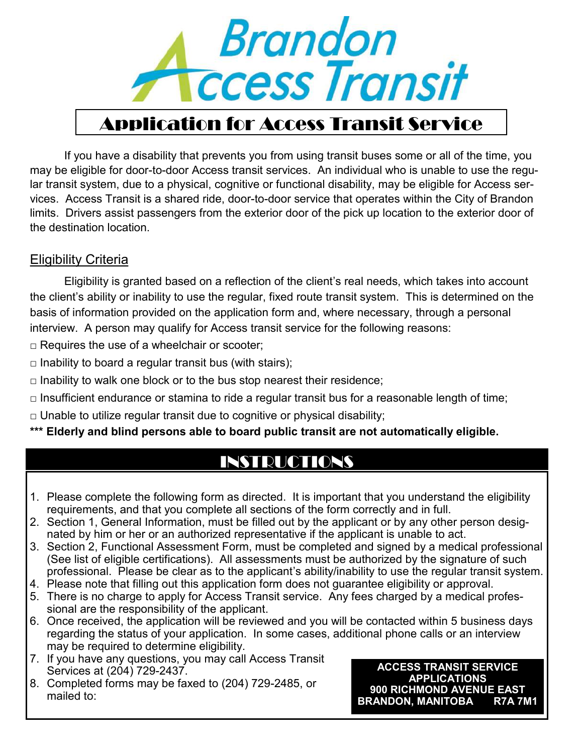

# Application for Access Transit Service

If you have a disability that prevents you from using transit buses some or all of the time, you may be eligible for door-to-door Access transit services. An individual who is unable to use the regular transit system, due to a physical, cognitive or functional disability, may be eligible for Access services. Access Transit is a shared ride, door-to-door service that operates within the City of Brandon limits. Drivers assist passengers from the exterior door of the pick up location to the exterior door of the destination location.

#### Eligibility Criteria

Eligibility is granted based on a reflection of the client's real needs, which takes into account the client's ability or inability to use the regular, fixed route transit system. This is determined on the basis of information provided on the application form and, where necessary, through a personal interview. A person may qualify for Access transit service for the following reasons:

 $\Box$  Requires the use of a wheelchair or scooter;

 $\Box$  Inability to board a regular transit bus (with stairs);

 $\Box$  Inability to walk one block or to the bus stop nearest their residence;

 $\Box$  Insufficient endurance or stamina to ride a regular transit bus for a reasonable length of time;

 $\Box$  Unable to utilize regular transit due to cognitive or physical disability;

**\*\*\* Elderly and blind persons able to board public transit are not automatically eligible.**

# INSTRUCTIONS

- 1. Please complete the following form as directed. It is important that you understand the eligibility requirements, and that you complete all sections of the form correctly and in full.
- 2. Section 1, General Information, must be filled out by the applicant or by any other person designated by him or her or an authorized representative if the applicant is unable to act.
- 3. Section 2, Functional Assessment Form, must be completed and signed by a medical professional (See list of eligible certifications). All assessments must be authorized by the signature of such professional. Please be clear as to the applicant's ability/inability to use the regular transit system.
- 4. Please note that filling out this application form does not guarantee eligibility or approval.
- 5. There is no charge to apply for Access Transit service. Any fees charged by a medical professional are the responsibility of the applicant.
- 6. Once received, the application will be reviewed and you will be contacted within 5 business days regarding the status of your application. In some cases, additional phone calls or an interview may be required to determine eligibility.
- 7. If you have any questions, you may call Access Transit Services at (204) 729-2437.
- 8. Completed forms may be faxed to (204) 729-2485, or mailed to:

**ACCESS TRANSIT SERVICE APPLICATIONS 900 RICHMOND AVENUE EAST BRANDON, MANITOBA**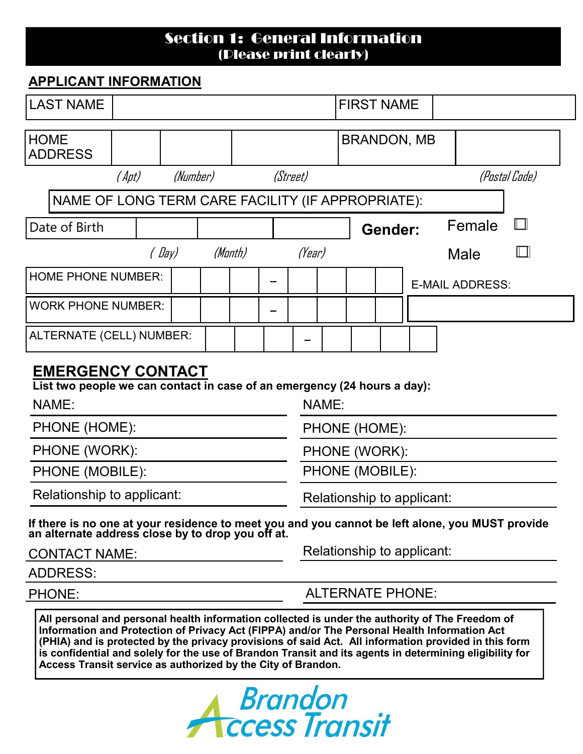## Section 1: General Information (Please print clearly)

### **APPLICANT INFORMATION**

| <b>LAST NAME</b>                                                                                                                                  |       |          |  |         |                            |          | <b>FIRST NAME</b> |  |                         |                        |      |        |               |  |
|---------------------------------------------------------------------------------------------------------------------------------------------------|-------|----------|--|---------|----------------------------|----------|-------------------|--|-------------------------|------------------------|------|--------|---------------|--|
| <b>HOME</b><br><b>ADDRESS</b>                                                                                                                     |       |          |  |         |                            |          |                   |  |                         | <b>BRANDON, MB</b>     |      |        |               |  |
|                                                                                                                                                   | (Apt) | (Number) |  |         |                            | (Street) |                   |  |                         |                        |      |        | (Postal Code) |  |
| NAME OF LONG TERM CARE FACILITY (IF APPROPRIATE):                                                                                                 |       |          |  |         |                            |          |                   |  |                         |                        |      |        |               |  |
| Date of Birth                                                                                                                                     |       |          |  |         |                            |          |                   |  | Gender:                 |                        |      | Female | $\mathbf{L}$  |  |
|                                                                                                                                                   |       | (Day)    |  | (Manth) |                            | (Year)   |                   |  |                         |                        | Male |        | II - I        |  |
| <b>HOME PHONE NUMBER:</b>                                                                                                                         |       |          |  |         |                            |          |                   |  |                         | <b>E-MAIL ADDRESS:</b> |      |        |               |  |
| <b>WORK PHONE NUMBER:</b>                                                                                                                         |       |          |  |         |                            |          |                   |  |                         |                        |      |        |               |  |
| ALTERNATE (CELL) NUMBER:                                                                                                                          |       |          |  |         |                            |          |                   |  |                         |                        |      |        |               |  |
| <b>EMERGENCY CONTACT</b>                                                                                                                          |       |          |  |         |                            |          |                   |  |                         |                        |      |        |               |  |
| List two people we can contact in case of an emergency (24 hours a day):                                                                          |       |          |  |         |                            |          |                   |  |                         |                        |      |        |               |  |
| NAME:                                                                                                                                             |       |          |  |         |                            | NAME:    |                   |  |                         |                        |      |        |               |  |
| PHONE (HOME):                                                                                                                                     |       |          |  |         | PHONE (HOME):              |          |                   |  |                         |                        |      |        |               |  |
| PHONE (WORK):                                                                                                                                     |       |          |  |         | PHONE (WORK):              |          |                   |  |                         |                        |      |        |               |  |
| PHONE (MOBILE):                                                                                                                                   |       |          |  |         | PHONE (MOBILE):            |          |                   |  |                         |                        |      |        |               |  |
| Relationship to applicant:                                                                                                                        |       |          |  |         | Relationship to applicant: |          |                   |  |                         |                        |      |        |               |  |
| If there is no one at your residence to meet you and you cannot be left alone, you MUST provide an alternate address close by to drop you off at. |       |          |  |         |                            |          |                   |  |                         |                        |      |        |               |  |
| <b>CONTACT NAME:</b>                                                                                                                              |       |          |  |         | Relationship to applicant: |          |                   |  |                         |                        |      |        |               |  |
| <b>ADDRESS:</b>                                                                                                                                   |       |          |  |         |                            |          |                   |  |                         |                        |      |        |               |  |
| PHONE:                                                                                                                                            |       |          |  |         |                            |          |                   |  | <b>ALTERNATE PHONE:</b> |                        |      |        |               |  |
|                                                                                                                                                   |       |          |  |         |                            |          |                   |  |                         |                        |      |        |               |  |

**All personal and personal health information collected is under the authority of The Freedom of Information and Protection of Privacy Act (FIPPA) and/or The Personal Health Information Act (PHIA) and is protected by the privacy provisions of said Act. All information provided in this form is confidential and solely for the use of Brandon Transit and its agents in determining eligibility for Access Transit service as authorized by the City of Brandon.**

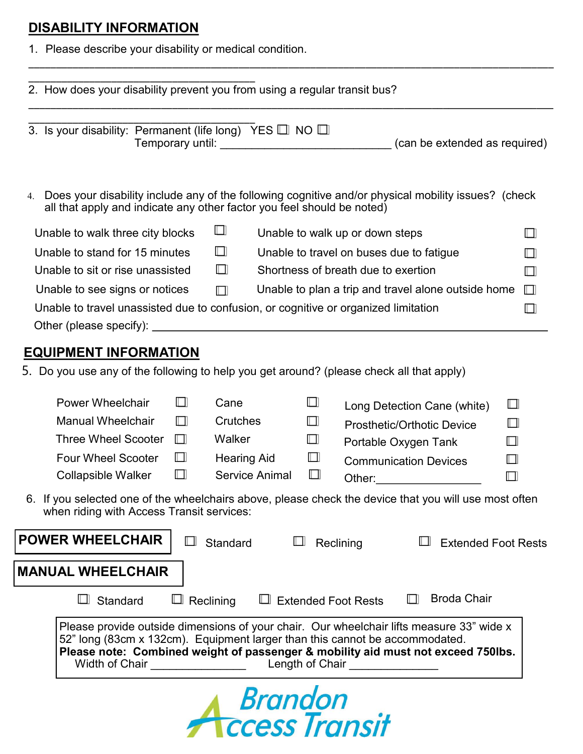# **DISABILITY INFORMATION**

1. Please describe your disability or medical condition.

| 2. How does your disability prevent you from using a regular transit bus?                                                                                                                                                                                                                                                         |                            |                                                                                                     |  |  |  |  |
|-----------------------------------------------------------------------------------------------------------------------------------------------------------------------------------------------------------------------------------------------------------------------------------------------------------------------------------|----------------------------|-----------------------------------------------------------------------------------------------------|--|--|--|--|
| 3. Is your disability: Permanent (life long) YES $\Box$ NO $\Box$                                                                                                                                                                                                                                                                 |                            | Temporary until: __________________________________(can be extended as required)                    |  |  |  |  |
| 4.<br>all that apply and indicate any other factor you feel should be noted)                                                                                                                                                                                                                                                      |                            | Does your disability include any of the following cognitive and/or physical mobility issues? (check |  |  |  |  |
| Unable to walk three city blocks                                                                                                                                                                                                                                                                                                  | Ш                          | Unable to walk up or down steps                                                                     |  |  |  |  |
| Unable to stand for 15 minutes                                                                                                                                                                                                                                                                                                    | $\Box$                     | Unable to travel on buses due to fatigue<br>$\mathsf{I} \mathsf{I}$                                 |  |  |  |  |
| Unable to sit or rise unassisted                                                                                                                                                                                                                                                                                                  | $\Box$                     | Shortness of breath due to exertion<br>П                                                            |  |  |  |  |
| Unable to see signs or notices                                                                                                                                                                                                                                                                                                    | $\Box$                     | Unable to plan a trip and travel alone outside home<br>$\Box$                                       |  |  |  |  |
| Unable to travel unassisted due to confusion, or cognitive or organized limitation<br>II I                                                                                                                                                                                                                                        |                            |                                                                                                     |  |  |  |  |
|                                                                                                                                                                                                                                                                                                                                   |                            |                                                                                                     |  |  |  |  |
| <b>EQUIPMENT INFORMATION</b>                                                                                                                                                                                                                                                                                                      |                            |                                                                                                     |  |  |  |  |
| 5. Do you use any of the following to help you get around? (please check all that apply)                                                                                                                                                                                                                                          |                            |                                                                                                     |  |  |  |  |
|                                                                                                                                                                                                                                                                                                                                   |                            |                                                                                                     |  |  |  |  |
| <b>Power Wheelchair</b><br>Ш                                                                                                                                                                                                                                                                                                      | Cane<br>Ш                  | Ш<br>Long Detection Cane (white)                                                                    |  |  |  |  |
| <b>Manual Wheelchair</b><br>⊓                                                                                                                                                                                                                                                                                                     | Crutches<br>ш              | ◫<br><b>Prosthetic/Orthotic Device</b>                                                              |  |  |  |  |
| <b>Three Wheel Scooter</b><br>$\mathbb{L}$                                                                                                                                                                                                                                                                                        | Walker<br>Ш                | Portable Oxygen Tank<br>Ш                                                                           |  |  |  |  |
| Ш<br><b>Four Wheel Scooter</b>                                                                                                                                                                                                                                                                                                    | <b>Hearing Aid</b><br>ш    | $\Box$<br><b>Communication Devices</b>                                                              |  |  |  |  |
| $\Box$<br><b>Collapsible Walker</b>                                                                                                                                                                                                                                                                                               | <b>Service Animal</b><br>Ш | $\Box$<br>Other:                                                                                    |  |  |  |  |
| 6. If you selected one of the wheelchairs above, please check the device that you will use most often<br>when riding with Access Transit services:                                                                                                                                                                                |                            |                                                                                                     |  |  |  |  |
| <b>POWER WHEELCHAIR</b>                                                                                                                                                                                                                                                                                                           | <b>Standard</b>            | Reclining<br><b>Extended Foot Rests</b>                                                             |  |  |  |  |
| <b>MANUAL WHEELCHAIR</b>                                                                                                                                                                                                                                                                                                          |                            |                                                                                                     |  |  |  |  |
| $\Box$ Reclining<br>Standard                                                                                                                                                                                                                                                                                                      | $\Box$ Extended Foot Rests | <b>Broda Chair</b>                                                                                  |  |  |  |  |
| Please provide outside dimensions of your chair. Our wheelchair lifts measure 33" wide x<br>52" long (83cm x 132cm). Equipment larger than this cannot be accommodated.<br>Please note: Combined weight of passenger & mobility aid must not exceed 750lbs.<br>Width of Chair <b>Example 20</b><br>Length of Chair ______________ |                            |                                                                                                     |  |  |  |  |
|                                                                                                                                                                                                                                                                                                                                   |                            |                                                                                                     |  |  |  |  |

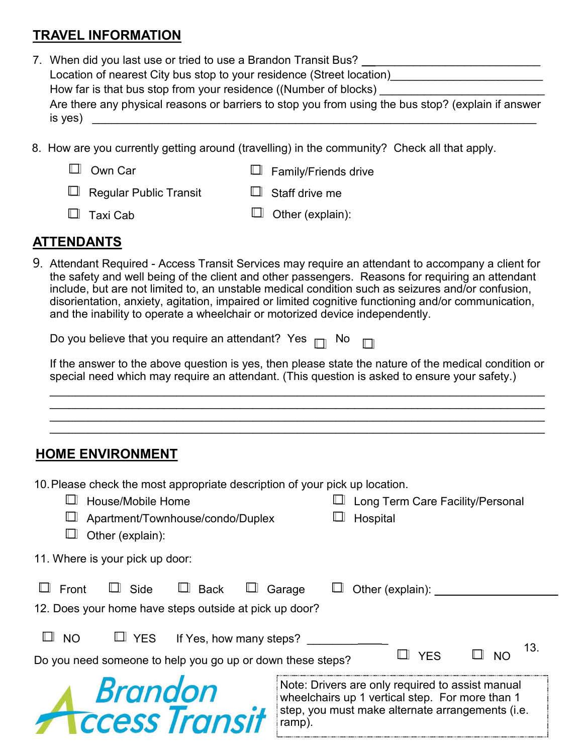## **TRAVEL INFORMATION**

- 7. When did you last use or tried to use a Brandon Transit Bus? \_\_\_\_\_\_\_\_\_\_\_\_\_\_\_\_\_\_\_\_\_\_\_\_\_\_ Location of nearest City bus stop to your residence (Street location)\_\_\_\_\_\_\_\_\_\_\_\_\_\_\_\_\_\_\_\_\_\_\_\_ How far is that bus stop from your residence ((Number of blocks) Are there any physical reasons or barriers to stop you from using the bus stop? (explain if answer  $is yes)$   $\overline{\phantom{a}}$
- 8. How are you currently getting around (travelling) in the community? Check all that apply.
	- □ Own Car □ Family/Friends drive

 $\Box$  Staff drive me  $\Box$  Regular Public Transit  $\Box$ 

 $\Box$  Taxi Cab

 $\Box$  Other (explain):

### **ATTENDANTS**

9. Attendant Required - Access Transit Services may require an attendant to accompany a client for the safety and well being of the client and other passengers. Reasons for requiring an attendant include, but are not limited to, an unstable medical condition such as seizures and/or confusion, disorientation, anxiety, agitation, impaired or limited cognitive functioning and/or communication, and the inability to operate a wheelchair or motorized device independently.

| Do you believe that you require an attendant? $\,$ Yes $\,$ $\Box$ $\,$ No $\,$ $\Box$ |  |  |  |  |
|----------------------------------------------------------------------------------------|--|--|--|--|
|----------------------------------------------------------------------------------------|--|--|--|--|

If the answer to the above question is yes, then please state the nature of the medical condition or special need which may require an attendant. (This question is asked to ensure your safety.)

 $\mathcal{L}_\mathcal{L} = \mathcal{L}_\mathcal{L} = \mathcal{L}_\mathcal{L} = \mathcal{L}_\mathcal{L} = \mathcal{L}_\mathcal{L} = \mathcal{L}_\mathcal{L} = \mathcal{L}_\mathcal{L} = \mathcal{L}_\mathcal{L} = \mathcal{L}_\mathcal{L} = \mathcal{L}_\mathcal{L} = \mathcal{L}_\mathcal{L} = \mathcal{L}_\mathcal{L} = \mathcal{L}_\mathcal{L} = \mathcal{L}_\mathcal{L} = \mathcal{L}_\mathcal{L} = \mathcal{L}_\mathcal{L} = \mathcal{L}_\mathcal{L}$  $\mathcal{L}_\mathcal{L} = \mathcal{L}_\mathcal{L} = \mathcal{L}_\mathcal{L} = \mathcal{L}_\mathcal{L} = \mathcal{L}_\mathcal{L} = \mathcal{L}_\mathcal{L} = \mathcal{L}_\mathcal{L} = \mathcal{L}_\mathcal{L} = \mathcal{L}_\mathcal{L} = \mathcal{L}_\mathcal{L} = \mathcal{L}_\mathcal{L} = \mathcal{L}_\mathcal{L} = \mathcal{L}_\mathcal{L} = \mathcal{L}_\mathcal{L} = \mathcal{L}_\mathcal{L} = \mathcal{L}_\mathcal{L} = \mathcal{L}_\mathcal{L}$  $\mathcal{L}_\mathcal{L} = \mathcal{L}_\mathcal{L} = \mathcal{L}_\mathcal{L} = \mathcal{L}_\mathcal{L} = \mathcal{L}_\mathcal{L} = \mathcal{L}_\mathcal{L} = \mathcal{L}_\mathcal{L} = \mathcal{L}_\mathcal{L} = \mathcal{L}_\mathcal{L} = \mathcal{L}_\mathcal{L} = \mathcal{L}_\mathcal{L} = \mathcal{L}_\mathcal{L} = \mathcal{L}_\mathcal{L} = \mathcal{L}_\mathcal{L} = \mathcal{L}_\mathcal{L} = \mathcal{L}_\mathcal{L} = \mathcal{L}_\mathcal{L}$ \_\_\_\_\_\_\_\_\_\_\_\_\_\_\_\_\_\_\_\_\_\_\_\_\_\_\_\_\_\_\_\_\_\_\_\_\_\_\_\_\_\_\_\_\_\_\_\_\_\_\_\_\_\_\_\_\_\_\_\_\_\_\_\_\_\_\_\_\_\_\_\_\_\_\_\_\_\_

## **HOME ENVIRONMENT**

| 10. Please check the most appropriate description of your pick up location.<br>$\Box$ House/Mobile Home<br>Apartment/Townhouse/condo/Duplex<br>Other (explain): | □ Long Term Care Facility/Personal<br>Hospital                                                                                                                    |
|-----------------------------------------------------------------------------------------------------------------------------------------------------------------|-------------------------------------------------------------------------------------------------------------------------------------------------------------------|
| 11. Where is your pick up door:                                                                                                                                 |                                                                                                                                                                   |
| $\Box$ Front<br>$\Box$ Side<br>$\square$ Back<br>12. Does your home have steps outside at pick up door?                                                         | Garage<br>Other (explain):                                                                                                                                        |
| $\Box$ NO<br>$\Box$ YES If Yes, how many steps?<br>Do you need someone to help you go up or down these steps?                                                   | 13.<br><b>YFS</b><br>N <sub>O</sub>                                                                                                                               |
| <b>Brandon</b><br><b>Access Transit</b>                                                                                                                         | Note: Drivers are only required to assist manual<br>wheelchairs up 1 vertical step. For more than 1<br>step, you must make alternate arrangements (i.e.<br>ramp). |